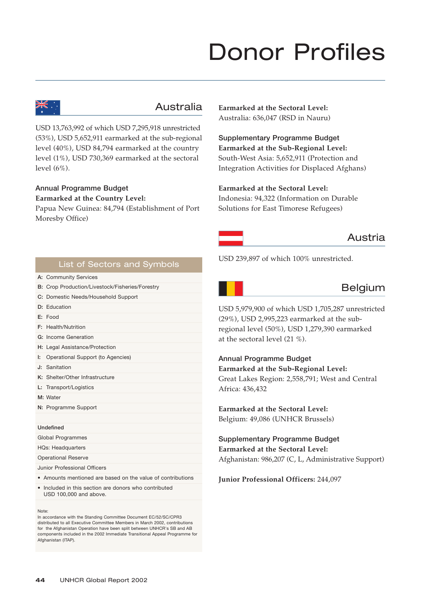# Donor Profiles



# Australia

USD 13,763,992 of which USD 7,295,918 unrestricted (53%), USD 5,652,911 earmarked at the sub-regional level (40%), USD 84,794 earmarked at the country level (1%), USD 730,369 earmarked at the sectoral level (6%).

## **Annual Programme Budget**

**Earmarked at the Country Level:** 

Papua New Guinea: 84,794 (Establishment of Port Moresby Office)

**Earmarked at the Sectoral Level:**  Australia: 636,047 (RSD in Nauru)

**Supplementary Programme Budget Earmarked at the Sub-Regional Level:** South-West Asia: 5,652,911 (Protection and Integration Activities for Displaced Afghans)

## **Earmarked at the Sectoral Level:**

Indonesia: 94,322 (Information on Durable Solutions for East Timorese Refugees)

# Austria

USD 239,897 of which 100% unrestricted.

## **A:** Community Services List of Sectors and Symbols

- 
- **B:** Crop Production/Livestock/Fisheries/Forestry **C:** Domestic Needs/Household Support
- **D:** Education
- **E:** Food
- **F:** Health/Nutrition
- **G:** Income Generation
- **H:** Legal Assistance/Protection
- **I:** Operational Support (to Agencies)
- **J:** Sanitation
- **K:** Shelter/Other Infrastructure
- **L:** Transport/Logistics
- **M:** Water
- **N:** Programme Support

#### **Undefined**

Global Programmes HQs: Headquarters

Operational Reserve

Junior Professional Officers

- Amounts mentioned are based on the value of contributions
- Included in this section are donors who contributed USD 100,000 and above.

#### Note:

In accordance with the Standing Committee Document EC/52/SC/CPR3 distributed to all Executive Committee Members in March 2002, contributions for the Afghanistan Operation have been split between UNHCR's SB and AB components included in the 2002 Immediate Transitional Appeal Programme for Afghanistan (ITAP).

Belgium

USD 5,979,900 of which USD 1,705,287 unrestricted (29%), USD 2,995,223 earmarked at the subregional level (50%), USD 1,279,390 earmarked at the sectoral level (21 %).

**Annual Programme Budget Earmarked at the Sub-Regional Level:** Great Lakes Region: 2,558,791; West and Central Africa: 436,432

**Earmarked at the Sectoral Level:** Belgium: 49,086 (UNHCR Brussels)

**Supplementary Programme Budget Earmarked at the Sectoral Level:** Afghanistan: 986,207 (C, L, Administrative Support)

#### **Junior Professional Officers:** 244,097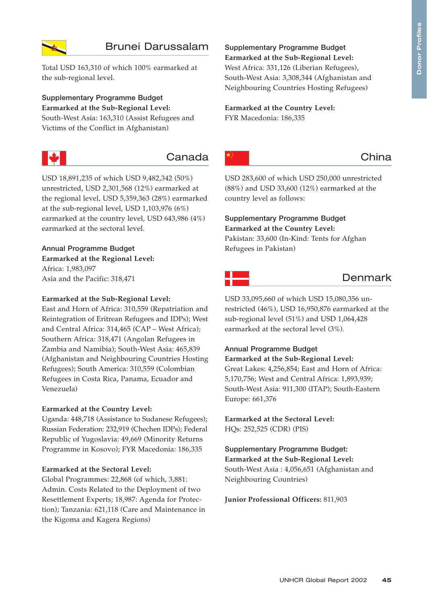

# Brunei Darussalam

Total USD 163,310 of which 100% earmarked at the sub-regional level.

**Supplementary Programme Budget Earmarked at the Sub-Regional Level:** South-West Asia: 163,310 (Assist Refugees and Victims of the Conflict in Afghanistan)



# Canada

USD 18,891,235 of which USD 9,482,342 (50%) unrestricted, USD 2,301,568 (12%) earmarked at the regional level, USD 5,359,363 (28%) earmarked at the sub-regional level, USD 1,103,976 (6%) earmarked at the country level, USD 643,986 (4%) earmarked at the sectoral level.

## **Annual Programme Budget**

**Earmarked at the Regional Level:** Africa: 1,983,097 Asia and the Pacific: 318,471

#### **Earmarked at the Sub-Regional Level:**

East and Horn of Africa: 310,559 (Repatriation and Reintegration of Eritrean Refugees and IDPs); West and Central Africa: 314,465 (CAP – West Africa); Southern Africa: 318,471 (Angolan Refugees in Zambia and Namibia); South-West Asia: 465,839 (Afghanistan and Neighbouring Countries Hosting Refugees); South America: 310,559 (Colombian Refugees in Costa Rica, Panama, Ecuador and Venezuela)

#### **Earmarked at the Country Level:**

Uganda: 448,718 (Assistance to Sudanese Refugees); Russian Federation: 232,919 (Chechen IDPs); Federal Republic of Yugoslavia: 49,669 (Minority Returns Programme in Kosovo); FYR Macedonia: 186,335

#### **Earmarked at the Sectoral Level:**

Global Programmes: 22,868 (of which, 3,881: Admin. Costs Related to the Deployment of two Resettlement Experts; 18,987: Agenda for Protection); Tanzania: 621,118 (Care and Maintenance in the Kigoma and Kagera Regions)

# **Supplementary Programme Budget**

**Earmarked at the Sub-Regional Level:** West Africa: 331,126 (Liberian Refugees), South-West Asia: 3,308,344 (Afghanistan and Neighbouring Countries Hosting Refugees)

# **Earmarked at the Country Level:**

FYR Macedonia: 186,335



# China

USD 283,600 of which USD 250,000 unrestricted (88%) and USD 33,600 (12%) earmarked at the country level as follows:

## **Supplementary Programme Budget Earmarked at the Country Level:** Pakistan: 33,600 (In-Kind: Tents for Afghan

Refugees in Pakistan)

# Denmark

USD 33,095,660 of which USD 15,080,356 unrestricted (46%), USD 16,950,876 earmarked at the sub-regional level (51%) and USD 1,064,428 earmarked at the sectoral level (3%).

# **Annual Programme Budget**

**Earmarked at the Sub-Regional Level:** Great Lakes: 4,256,854; East and Horn of Africa: 5,170,756; West and Central Africa: 1,893,939; South-West Asia: 911,300 (ITAP); South-Eastern Europe: 661,376

**Earmarked at the Sectoral Level:** HQs: 252,525 (CDR) (PIS)

## **Supplementary Programme Budget: Earmarked at the Sub-Regional Level:** South-West Asia : 4,056,651 (Afghanistan and

Neighbouring Countries)

#### **Junior Professional Officers:** 811,903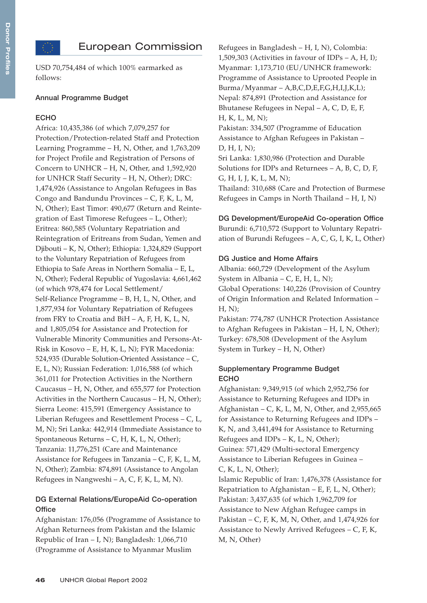# European Commission

USD 70,754,484 of which 100% earmarked as follows:

#### **Annual Programme Budget**

#### **ECHO**

Africa: 10,435,386 (of which 7,079,257 for Protection/Protection-related Staff and Protection Learning Programme – H, N, Other, and 1,763,209 for Project Profile and Registration of Persons of Concern to UNHCR – H, N, Other, and 1,592,920 for UNHCR Staff Security – H, N, Other); DRC: 1,474,926 (Assistance to Angolan Refugees in Bas Congo and Bandundu Provinces – C, F, K, L, M, N, Other); East Timor: 490,677 (Return and Reintegration of East Timorese Refugees – L, Other); Eritrea: 860,585 (Voluntary Repatriation and Reintegration of Eritreans from Sudan, Yemen and Djibouti – K, N, Other); Ethiopia: 1,324,829 (Support to the Voluntary Repatriation of Refugees from Ethiopia to Safe Areas in Northern Somalia – E, L, N, Other); Federal Republic of Yugoslavia: 4,661,462 (of which 978,474 for Local Settlement/ Self-Reliance Programme – B, H, L, N, Other, and 1,877,934 for Voluntary Repatriation of Refugees from FRY to Croatia and BiH  $- A$ , F, H, K, L, N, and 1,805,054 for Assistance and Protection for Vulnerable Minority Communities and Persons-At-Risk in Kosovo – E, H, K, L, N); FYR Macedonia: 524,935 (Durable Solution-Oriented Assistance – C, E, L, N); Russian Federation: 1,016,588 (of which 361,011 for Protection Activities in the Northern Caucasus – H, N, Other, and 655,577 for Protection Activities in the Northern Caucasus – H, N, Other); Sierra Leone: 415,591 (Emergency Assistance to Liberian Refugees and Resettlement Process – C, L, M, N); Sri Lanka: 442,914 (Immediate Assistance to Spontaneous Returns – C, H, K, L, N, Other); Tanzania: 11,776,251 (Care and Maintenance Assistance for Refugees in Tanzania – C, F, K, L, M, N, Other); Zambia: 874,891 (Assistance to Angolan Refugees in Nangweshi – A, C, F, K, L, M, N).

## **DG External Relations/EuropeAid Co-operation Office**

Afghanistan: 176,056 (Programme of Assistance to Afghan Returnees from Pakistan and the Islamic Republic of Iran – I, N); Bangladesh: 1,066,710 (Programme of Assistance to Myanmar Muslim

Refugees in Bangladesh – H, I, N), Colombia: 1,509,303 (Activities in favour of IDPs  $- A$ , H, I); Myanmar: 1,173,710 (EU/UNHCR framework: Programme of Assistance to Uprooted People in Burma/Myanmar – A,B,C,D,E,F,G,H,I,J,K,L); Nepal: 874,891 (Protection and Assistance for Bhutanese Refugees in Nepal – A, C, D, E, F, H, K, L, M, N); Pakistan: 334,507 (Programme of Education

Assistance to Afghan Refugees in Pakistan – D, H, I, N);

Sri Lanka: 1,830,986 (Protection and Durable Solutions for IDPs and Returnees – A, B, C, D, F, G, H, I, J, K, L, M, N);

Thailand: 310,688 (Care and Protection of Burmese Refugees in Camps in North Thailand – H, I, N)

#### **DG Development/EuropeAid Co-operation Office**

Burundi: 6,710,572 (Support to Voluntary Repatriation of Burundi Refugees – A, C, G, I, K, L, Other)

#### **DG Justice and Home Affairs**

Albania: 660,729 (Development of the Asylum System in Albania – C, E, H, L, N); Global Operations: 140,226 (Provision of Country of Origin Information and Related Information – H, N);

Pakistan: 774,787 (UNHCR Protection Assistance to Afghan Refugees in Pakistan – H, I, N, Other); Turkey: 678,508 (Development of the Asylum System in Turkey – H, N, Other)

#### **Supplementary Programme Budget ECHO**

Afghanistan: 9,349,915 (of which 2,952,756 for Assistance to Returning Refugees and IDPs in Afghanistan – C, K, L, M, N, Other, and 2,955,665 for Assistance to Returning Refugees and IDPs – K, N, and 3,441,494 for Assistance to Returning Refugees and IDPs – K, L, N, Other); Guinea: 571,429 (Multi-sectoral Emergency Assistance to Liberian Refugees in Guinea – C, K, L, N, Other);

Islamic Republic of Iran: 1,476,378 (Assistance for Repatriation to Afghanistan  $-$  E, F, L, N, Other); Pakistan: 3,437,635 (of which 1,962,709 for Assistance to New Afghan Refugee camps in Pakistan – C, F, K, M, N, Other, and 1,474,926 for Assistance to Newly Arrived Refugees – C, F, K, M, N, Other)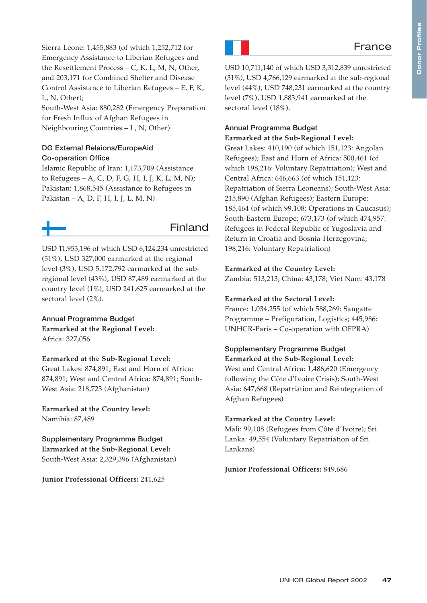Donor Profiles **Donor Profiles**

# **France**

Sierra Leone: 1,455,883 (of which 1,252,712 for Emergency Assistance to Liberian Refugees and the Resettlement Process – C, K, L, M, N, Other, and 203,171 for Combined Shelter and Disease Control Assistance to Liberian Refugees – E, F, K, L, N, Other);

South-West Asia: 880,282 (Emergency Preparation for Fresh Influx of Afghan Refugees in Neighbouring Countries – L, N, Other)

## **DG External Relaions/EuropeAid Co-operation Office**

Islamic Republic of Iran: 1,173,709 (Assistance to Refugees  $-A$ , C, D, F, G, H, I, J, K, L, M, N); Pakistan: 1,868,545 (Assistance to Refugees in Pakistan – A, D, F, H, I, J, L, M, N)



# Finland

USD 11,953,196 of which USD 6,124,234 unrestricted (51%), USD 327,000 earmarked at the regional level (3%), USD 5,172,792 earmarked at the subregional level (43%), USD 87,489 earmarked at the country level (1%), USD 241,625 earmarked at the sectoral level (2%).

**Annual Programme Budget Earmarked at the Regional Level:** Africa: 327,056

## **Earmarked at the Sub-Regional Level:**

Great Lakes: 874,891; East and Horn of Africa: 874,891; West and Central Africa: 874,891; South-West Asia: 218,723 (Afghanistan)

**Earmarked at the Country level:**  Namibia: 87,489

**Supplementary Programme Budget Earmarked at the Sub-Regional Level:**  South-West Asia: 2,329,396 (Afghanistan)

**Junior Professional Officers:** 241,625



USD 10,711,140 of which USD 3,312,839 unrestricted (31%), USD 4,766,129 earmarked at the sub-regional level (44%), USD 748,231 earmarked at the country level (7%), USD 1,883,941 earmarked at the sectoral level (18%).

## **Annual Programme Budget Earmarked at the Sub-Regional Level:**

Great Lakes: 410,190 (of which 151,123: Angolan Refugees); East and Horn of Africa: 500,461 (of which 198,216: Voluntary Repatriation); West and Central Africa: 646,663 (of which 151,123: Repatriation of Sierra Leoneans); South-West Asia: 215,890 (Afghan Refugees); Eastern Europe: 185,464 (of which 99,108: Operations in Caucasus); South-Eastern Europe: 673,173 (of which 474,957: Refugees in Federal Republic of Yugoslavia and Return in Croatia and Bosnia-Herzegovina; 198,216: Voluntary Repatriation)

## **Earmarked at the Country Level:**

Zambia: 513,213; China: 43,178; Viet Nam: 43,178

## **Earmarked at the Sectoral Level:**

France: 1,034,255 (of which 588,269: Sangatte Programme – Prefiguration, Logistics; 445,986: UNHCR-Paris – Co-operation with OFPRA)

## **Supplementary Programme Budget Earmarked at the Sub-Regional Level:**

West and Central Africa: 1,486,620 (Emergency following the Côte d'Ivoire Crisis); South-West Asia: 647,668 (Repatriation and Reintegration of Afghan Refugees)

## **Earmarked at the Country Level:**

Mali: 99,108 (Refugees from Côte d'Ivoire); Sri Lanka: 49,554 (Voluntary Repatriation of Sri Lankans)

**Junior Professional Officers:** 849,686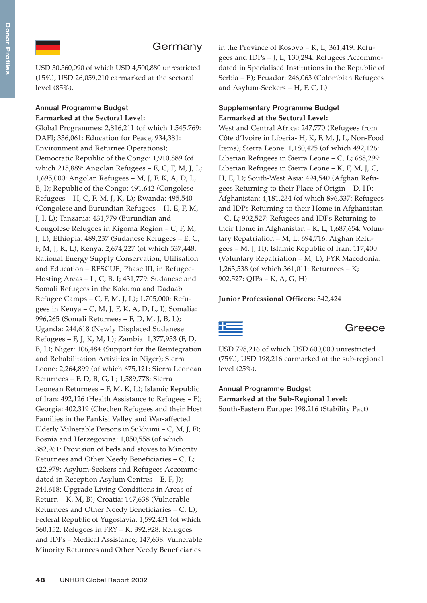USD 30,560,090 of which USD 4,500,880 unrestricted (15%), USD 26,059,210 earmarked at the sectoral level (85%).

## **Annual Programme Budget Earmarked at the Sectoral Level:**

Global Programmes: 2,816,211 (of which 1,545,769: DAFI; 336,061: Education for Peace; 934,381: Environment and Returnee Operations); Democratic Republic of the Congo: 1,910,889 (of which 215,889: Angolan Refugees – E, C, F, M, J, L; 1,695,000: Angolan Refugees – M, J, F, K, A, D, L, B, I); Republic of the Congo: 491,642 (Congolese Refugees – H, C, F, M, J, K, L); Rwanda: 495,540 (Congolese and Burundian Refugees – H, E, F, M, J, I, L); Tanzania: 431,779 (Burundian and Congolese Refugees in Kigoma Region – C, F, M, J, L); Ethiopia: 489,237 (Sudanese Refugees – E, C, F, M, J, K, L); Kenya: 2,674,227 (of which 537,448: Rational Energy Supply Conservation, Utilisation and Education – RESCUE, Phase III, in Refugee-Hosting Areas – L, C, B, I; 431,779: Sudanese and Somali Refugees in the Kakuma and Dadaab Refugee Camps – C, F, M, J, L); 1,705,000: Refugees in Kenya – C, M, J, F, K, A, D, L, I); Somalia: 996,265 (Somali Returnees – F, D, M, J, B, L); Uganda: 244,618 (Newly Displaced Sudanese Refugees – F, J, K, M, L); Zambia: 1,377,953 (F, D, B, L); Niger: 106,484 (Support for the Reintegration and Rehabilitation Activities in Niger); Sierra Leone: 2,264,899 (of which 675,121: Sierra Leonean Returnees – F, D, B, G, L; 1,589,778: Sierra Leonean Returnees – F, M, K, L); Islamic Republic of Iran: 492,126 (Health Assistance to Refugees – F); Georgia: 402,319 (Chechen Refugees and their Host Families in the Pankisi Valley and War-affected Elderly Vulnerable Persons in Sukhumi – C, M, J, F); Bosnia and Herzegovina: 1,050,558 (of which 382,961: Provision of beds and stoves to Minority Returnees and Other Needy Beneficiaries – C, L; 422,979: Asylum-Seekers and Refugees Accommodated in Reception Asylum Centres – E, F, J); 244,618: Upgrade Living Conditions in Areas of Return – K, M, B); Croatia: 147,638 (Vulnerable Returnees and Other Needy Beneficiaries – C, L); Federal Republic of Yugoslavia: 1,592,431 (of which 560,152: Refugees in FRY – K; 392,928: Refugees and IDPs – Medical Assistance; 147,638: Vulnerable Minority Returnees and Other Needy Beneficiaries

in the Province of Kosovo – K, L; 361,419: Refugees and IDPs – J, L; 130,294: Refugees Accommodated in Specialised Institutions in the Republic of Serbia – E); Ecuador: 246,063 (Colombian Refugees and Asylum-Seekers – H, F, C, L)

## **Supplementary Programme Budget Earmarked at the Sectoral Level:**

West and Central Africa: 247,770 (Refugees from Côte d'Ivoire in Liberia- H, K, F, M, J, L, Non-Food Items); Sierra Leone: 1,180,425 (of which 492,126: Liberian Refugees in Sierra Leone – C, L; 688,299: Liberian Refugees in Sierra Leone – K, F, M, J, C, H, E, L); South-West Asia: 494,540 (Afghan Refugees Returning to their Place of Origin – D, H); Afghanistan: 4,181,234 (of which 896,337: Refugees and IDPs Returning to their Home in Afghanistan – C, L; 902,527: Refugees and IDPs Returning to their Home in Afghanistan – K, L; 1,687,654: Voluntary Repatriation – M, L; 694,716: Afghan Refugees – M, J, H); Islamic Republic of Iran: 117,400 (Voluntary Repatriation – M, L); FYR Macedonia: 1,263,538 (of which 361,011: Returnees – K; 902,527: QIPs – K, A, G, H).

## **Junior Professional Officers:** 342,424

# Greece

USD 798,216 of which USD 600,000 unrestricted (75%), USD 198,216 earmarked at the sub-regional level (25%).

# **Annual Programme Budget**

**Earmarked at the Sub-Regional Level:** South-Eastern Europe: 198,216 (Stability Pact)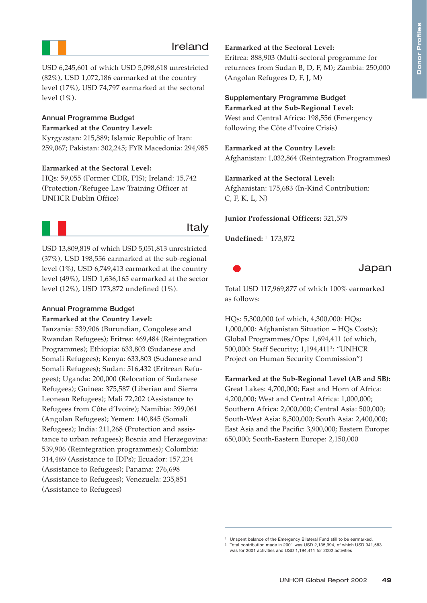# Ireland

USD 6,245,601 of which USD 5,098,618 unrestricted (82%), USD 1,072,186 earmarked at the country level (17%), USD 74,797 earmarked at the sectoral level (1%).

#### **Annual Programme Budget Earmarked at the Country Level:**

Kyrgyzstan: 215,889; Islamic Republic of Iran: 259,067; Pakistan: 302,245; FYR Macedonia: 294,985

#### **Earmarked at the Sectoral Level:**

HQs: 59,055 (Former CDR, PIS); Ireland: 15,742 (Protection/Refugee Law Training Officer at UNHCR Dublin Office)



## Italy

USD 13,809,819 of which USD 5,051,813 unrestricted (37%), USD 198,556 earmarked at the sub-regional level (1%), USD 6,749,413 earmarked at the country level (49%), USD 1,636,165 earmarked at the sector level (12%), USD 173,872 undefined (1%).

#### **Annual Programme Budget**

#### **Earmarked at the Country Level:**

Tanzania: 539,906 (Burundian, Congolese and Rwandan Refugees); Eritrea: 469,484 (Reintegration Programmes); Ethiopia: 633,803 (Sudanese and Somali Refugees); Kenya: 633,803 (Sudanese and Somali Refugees); Sudan: 516,432 (Eritrean Refugees); Uganda: 200,000 (Relocation of Sudanese Refugees); Guinea: 375,587 (Liberian and Sierra Leonean Refugees); Mali 72,202 (Assistance to Refugees from Côte d'Ivoire); Namibia: 399,061 (Angolan Refugees); Yemen: 140,845 (Somali Refugees); India: 211,268 (Protection and assistance to urban refugees); Bosnia and Herzegovina: 539,906 (Reintegration programmes); Colombia: 314,469 (Assistance to IDPs); Ecuador: 157,234 (Assistance to Refugees); Panama: 276,698 (Assistance to Refugees); Venezuela: 235,851 (Assistance to Refugees)

### **Earmarked at the Sectoral Level:**

Eritrea: 888,903 (Multi-sectoral programme for returnees from Sudan B, D, F, M); Zambia: 250,000 (Angolan Refugees D, F, J, M)

#### **Supplementary Programme Budget**

**Earmarked at the Sub-Regional Level:** West and Central Africa: 198,556 (Emergency following the Côte d'Ivoire Crisis)

#### **Earmarked at the Country Level:**

Afghanistan: 1,032,864 (Reintegration Programmes)

#### **Earmarked at the Sectoral Level:**

Afghanistan: 175,683 (In-Kind Contribution: C, F, K, L, N)

#### **Junior Professional Officers:** 321,579

**Undefined:** <sup>1</sup> 173,872



Total USD 117,969,877 of which 100% earmarked as follows:

HQs: 5,300,000 (of which, 4,300,000: HQs; 1,000,000: Afghanistan Situation – HQs Costs); Global Programmes/Ops: 1,694,411 (of which, 500,000: Staff Security; 1,194,411<del>°</del>: "UNHCR Project on Human Security Commission")

#### **Earmarked at the Sub-Regional Level (AB and SB):**

Great Lakes: 4,700,000; East and Horn of Africa: 4,200,000; West and Central Africa: 1,000,000; Southern Africa: 2,000,000; Central Asia: 500,000; South-West Asia: 8,500,000; South Asia: 2,400,000; East Asia and the Pacific: 3,900,000; Eastern Europe: 650,000; South-Eastern Europe: 2,150,000

Unspent balance of the Emergency Bilateral Fund still to be earmarked.

<sup>2</sup> Total contribution made in 2001 was USD 2,135,994, of which USD 941,583 was for 2001 activities and USD 1,194,411 for 2002 activities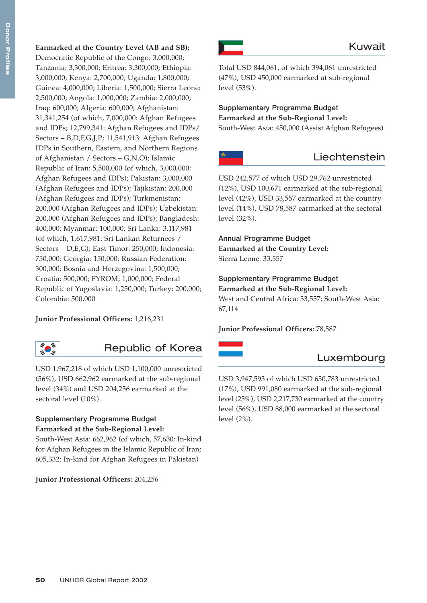**Earmarked at the Country Level (AB and SB):** Democratic Republic of the Congo: 3,000,000; Tanzania: 3,300,000; Eritrea: 3,300,000; Ethiopia: 3,000,000; Kenya: 2,700,000; Uganda: 1,800,000; Guinea: 4,000,000; Liberia: 1,500,000; Sierra Leone: 2,500,000; Angola: 1,000,000; Zambia: 2,000,000; Iraq: 600,000; Algeria: 600,000; Afghanistan: 31,341,254 (of which, 7,000,000: Afghan Refugees and IDPs; 12,799,341: Afghan Refugees and IDPs/ Sectors – B,D,F,G,J,P; 11,541,913: Afghan Refugees IDPs in Southern, Eastern, and Northern Regions of Afghanistan / Sectors – G,N,O); Islamic Republic of Iran: 5,500,000 (of which, 3,000,000: Afghan Refugees and IDPs); Pakistan: 3,000,000 (Afghan Refugees and IDPs); Tajikistan: 200,000 (Afghan Refugees and IDPs); Turkmenistan: 200,000 (Afghan Refugees and IDPs); Uzbekistan: 200,000 (Afghan Refugees and IDPs); Bangladesh: 400,000; Myanmar: 100,000; Sri Lanka: 3,117,981 (of which, 1,617,981: Sri Lankan Returnees / Sectors – D,E,G); East Timor: 250,000; Indonesia: 750,000; Georgia: 150,000; Russian Federation: 300,000; Bosnia and Herzegovina: 1,500,000; Croatia: 500,000; FYROM; 1,000,000; Federal Republic of Yugoslavia: 1,250,000; Turkey: 200,000; Colombia: 500,000

## **Junior Professional Officers:** 1,216,231



Republic of Korea

USD 1,967,218 of which USD 1,100,000 unrestricted (56%), USD 662,962 earmarked at the sub-regional level (34%) and USD 204,256 earmarked at the sectoral level (10%).

## **Supplementary Programme Budget Earmarked at the Sub-Regional Level:**

South-West Asia: 662,962 (of which, 57,630: In-kind for Afghan Refugees in the Islamic Republic of Iran; 605,332: In-kind for Afghan Refugees in Pakistan)

#### **Junior Professional Officers:** 204,256



Total USD 844,061, of which 394,061 unrestricted (47%), USD 450,000 earmarked at sub-regional level (53%).

# **Supplementary Programme Budget Earmarked at the Sub-Regional Level:**

South-West Asia: 450,000 (Assist Afghan Refugees)



# Liechtenstein

USD 242,577 of which USD 29,762 unrestricted (12%), USD 100,671 earmarked at the sub-regional level (42%), USD 33,557 earmarked at the country level (14%), USD 78,587 earmarked at the sectoral level (32%).

**Annual Programme Budget Earmarked at the Country Level:** Sierra Leone: 33,557

**Supplementary Programme Budget Earmarked at the Sub-Regional Level:** West and Central Africa: 33,557; South-West Asia: 67,114

**Junior Professional Officers:** 78,587



# Luxembourg

USD 3,947,593 of which USD 650,783 unrestricted (17%), USD 991,080 earmarked at the sub-regional level (25%), USD 2,217,730 earmarked at the country level (56%), USD 88,000 earmarked at the sectoral level (2%).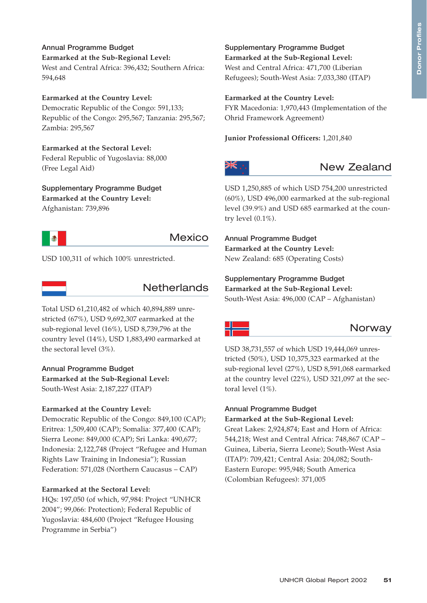**Annual Programme Budget Earmarked at the Sub-Regional Level:** West and Central Africa: 396,432; Southern Africa: 594,648

**Earmarked at the Country Level:** Democratic Republic of the Congo: 591,133; Republic of the Congo: 295,567; Tanzania: 295,567; Zambia: 295,567

**Earmarked at the Sectoral Level:** Federal Republic of Yugoslavia: 88,000 (Free Legal Aid)

**Supplementary Programme Budget Earmarked at the Country Level:** Afghanistan: 739,896



# Mexico

USD 100,311 of which 100% unrestricted.



Total USD 61,210,482 of which 40,894,889 unrestricted (67%), USD 9,692,307 earmarked at the sub-regional level (16%), USD 8,739,796 at the country level (14%), USD 1,883,490 earmarked at the sectoral level (3%).

**Annual Programme Budget Earmarked at the Sub-Regional Level:** South-West Asia: 2,187,227 (ITAP)

#### **Earmarked at the Country Level:**

Democratic Republic of the Congo: 849,100 (CAP); Eritrea: 1,509,400 (CAP); Somalia: 377,400 (CAP); Sierra Leone: 849,000 (CAP); Sri Lanka: 490,677; Indonesia: 2,122,748 (Project "Refugee and Human Rights Law Training in Indonesia"); Russian Federation: 571,028 (Northern Caucasus – CAP)

#### **Earmarked at the Sectoral Level:**

HQs: 197,050 (of which, 97,984: Project "UNHCR 2004"; 99,066: Protection); Federal Republic of Yugoslavia: 484,600 (Project "Refugee Housing Programme in Serbia")

**Supplementary Programme Budget Earmarked at the Sub-Regional Level:** West and Central Africa: 471,700 (Liberian Refugees); South-West Asia: 7,033,380 (ITAP)

## **Earmarked at the Country Level:**

FYR Macedonia: 1,970,443 (Implementation of the Ohrid Framework Agreement)

**Junior Professional Officers:** 1,201,840



# New Zealand

USD 1,250,885 of which USD 754,200 unrestricted (60%), USD 496,000 earmarked at the sub-regional level (39.9%) and USD 685 earmarked at the country level (0.1%).

**Annual Programme Budget Earmarked at the Country Level:** New Zealand: 685 (Operating Costs)

**Supplementary Programme Budget Earmarked at the Sub-Regional Level:** South-West Asia: 496,000 (CAP – Afghanistan)



# **Norway**

USD 38,731,557 of which USD 19,444,069 unrestricted (50%), USD 10,375,323 earmarked at the sub-regional level (27%), USD 8,591,068 earmarked at the country level (22%), USD 321,097 at the sectoral level (1%).

# **Annual Programme Budget**

**Earmarked at the Sub-Regional Level:** Great Lakes: 2,924,874; East and Horn of Africa: 544,218; West and Central Africa: 748,867 (CAP – Guinea, Liberia, Sierra Leone); South-West Asia (ITAP): 709,421; Central Asia: 204,082; South-Eastern Europe: 995,948; South America (Colombian Refugees): 371,005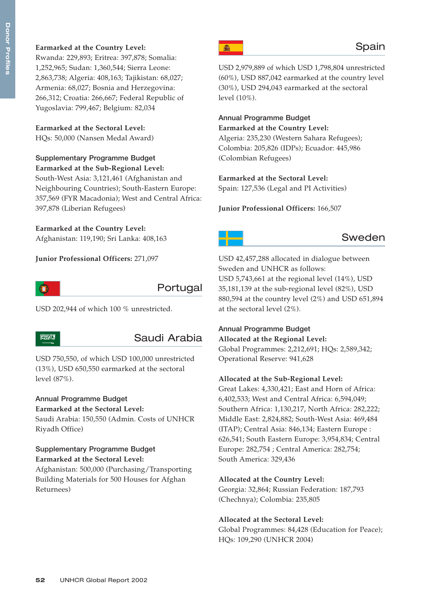## **Earmarked at the Country Level:**

Rwanda: 229,893; Eritrea: 397,878; Somalia: 1,252,965; Sudan: 1,360,544; Sierra Leone: 2,863,738; Algeria: 408,163; Tajikistan: 68,027; Armenia: 68,027; Bosnia and Herzegovina: 266,312; Croatia: 266,667; Federal Republic of Yugoslavia: 799,467; Belgium: 82,034

**Earmarked at the Sectoral Level:** HQs: 50,000 (Nansen Medal Award)

## **Supplementary Programme Budget**

**Earmarked at the Sub-Regional Level:** South-West Asia: 3,121,461 (Afghanistan and Neighbouring Countries); South-Eastern Europe: 357,569 (FYR Macadonia); West and Central Africa: 397,878 (Liberian Refugees)

## **Earmarked at the Country Level:**

Afghanistan: 119,190; Sri Lanka: 408,163

**Junior Professional Officers:** 271,097



# Portugal

USD 202,944 of which 100 % unrestricted.

#### **SUGGESTON**

# Saudi Arabia

USD 750,550, of which USD 100,000 unrestricted (13%), USD 650,550 earmarked at the sectoral level (87%).

## **Annual Programme Budget**

**Earmarked at the Sectoral Level:** Saudi Arabia: 150,550 (Admin. Costs of UNHCR Riyadh Office)

## **Supplementary Programme Budget Earmarked at the Sectoral Level:**

Afghanistan: 500,000 (Purchasing/Transporting Building Materials for 500 Houses for Afghan Returnees)



USD 2,979,889 of which USD 1,798,804 unrestricted (60%), USD 887,042 earmarked at the country level (30%), USD 294,043 earmarked at the sectoral level (10%).

# **Annual Programme Budget Earmarked at the Country Level:**

Algeria: 235,230 (Western Sahara Refugees); Colombia: 205,826 (IDPs); Ecuador: 445,986 (Colombian Refugees)

## **Earmarked at the Sectoral Level:**

Spain: 127,536 (Legal and PI Activities)

## **Junior Professional Officers:** 166,507



# Sweden

USD 42,457,288 allocated in dialogue between Sweden and UNHCR as follows: USD 5,743,661 at the regional level (14%), USD 35,181,139 at the sub-regional level (82%), USD 880,594 at the country level (2%) and USD 651,894 at the sectoral level (2%).

## **Annual Programme Budget**

**Allocated at the Regional Level:** Global Programmes: 2,212,691; HQs: 2,589,342; Operational Reserve: 941,628

## **Allocated at the Sub-Regional Level:**

Great Lakes: 4,330,421; East and Horn of Africa: 6,402,533; West and Central Africa: 6,594,049; Southern Africa: 1,130,217, North Africa: 282,222; Middle East: 2,824,882; South-West Asia: 469,484 (ITAP); Central Asia: 846,134; Eastern Europe : 626,541; South Eastern Europe: 3,954,834; Central Europe: 282,754 ; Central America: 282,754; South America: 329,436

#### **Allocated at the Country Level:**

Georgia: 32,864; Russian Federation: 187,793 (Chechnya); Colombia: 235,805

## **Allocated at the Sectoral Level:**

Global Programmes: 84,428 (Education for Peace); HQs: 109,290 (UNHCR 2004)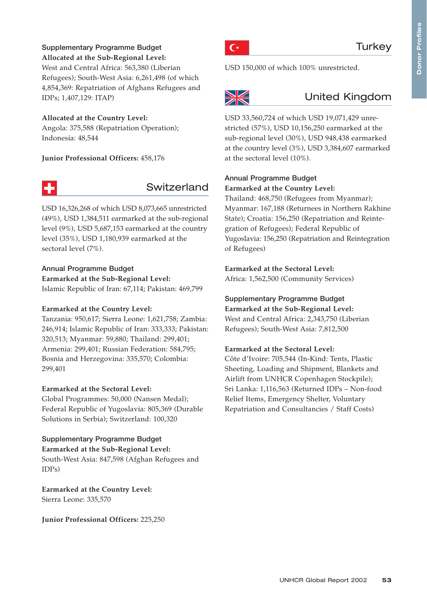#### **Supplementary Programme Budget Allocated at the Sub-Regional Level:**

West and Central Africa: 563,380 (Liberian Refugees); South-West Asia: 6,261,498 (of which 4,854,369: Repatriation of Afghans Refugees and IDPs; 1,407,129: ITAP)

## **Allocated at the Country Level:**

Angola: 375,588 (Repatriation Operation); Indonesia: 48,544

**Junior Professional Officers:** 458,176



# Switzerland

USD 16,326,268 of which USD 8,073,665 unrestricted (49%), USD 1,384,511 earmarked at the sub-regional level (9%), USD 5,687,153 earmarked at the country level (35%), USD 1,180,939 earmarked at the sectoral level (7%).

## **Annual Programme Budget**

**Earmarked at the Sub-Regional Level:** Islamic Republic of Iran: 67,114; Pakistan: 469,799

## **Earmarked at the Country Level:**

Tanzania: 950,617; Sierra Leone: 1,621,758; Zambia: 246,914; Islamic Republic of Iran: 333,333; Pakistan: 320,513; Myanmar: 59,880; Thailand: 299,401; Armenia: 299,401; Russian Federation: 584,795; Bosnia and Herzegovina: 335,570; Colombia: 299,401

## **Earmarked at the Sectoral Level:**

Global Programmes: 50,000 (Nansen Medal); Federal Republic of Yugoslavia: 805,369 (Durable Solutions in Serbia); Switzerland: 100,320

## **Supplementary Programme Budget**

**Earmarked at the Sub-Regional Level:** South-West Asia: 847,598 (Afghan Refugees and IDPs)

**Earmarked at the Country Level:** Sierra Leone: 335,570

**Junior Professional Officers:** 225,250



USD 150,000 of which 100% unrestricted.



# United Kingdom

USD 33,560,724 of which USD 19,071,429 unrestricted (57%), USD 10,156,250 earmarked at the sub-regional level (30%), USD 948,438 earmarked at the country level (3%), USD 3,384,607 earmarked at the sectoral level (10%).

## **Annual Programme Budget Earmarked at the Country Level:**

Thailand: 468,750 (Refugees from Myanmar); Myanmar: 167,188 (Returnees in Northern Rakhine State); Croatia: 156,250 (Repatriation and Reintegration of Refugees); Federal Republic of Yugoslavia: 156,250 (Repatriation and Reintegration of Refugees)

## **Earmarked at the Sectoral Level:**

Africa: 1,562,500 (Community Services)

**Supplementary Programme Budget Earmarked at the Sub-Regional Level:** West and Central Africa: 2,343,750 (Liberian Refugees); South-West Asia: 7,812,500

## **Earmarked at the Sectoral Level:**

Côte d'Ivoire: 705,544 (In-Kind: Tents, Plastic Sheeting, Loading and Shipment, Blankets and Airlift from UNHCR Copenhagen Stockpile); Sri Lanka: 1,116,563 (Returned IDPs – Non-food Relief Items, Emergency Shelter, Voluntary Repatriation and Consultancies / Staff Costs)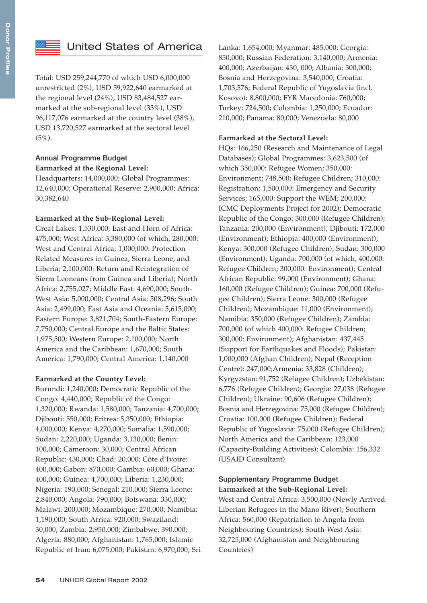

# United States of America

Total: USD 259,244,770 of which USD 6,000,000 unrestricted (2%), USD 59,922,640 earmarked at the regional level (24%), USD 83,484,527 earmarked at the sub-regional level (33%), USD 96,117,076 earmarked at the country level (38%), USD 13,720,527 earmarked at the sectoral level  $(5\%)$ .

## **Annual Programme Budget Earmarked at the Regional Level:**

Headquarters: 14,000,000; Global Programmes: 12,640,000; Operational Reserve: 2,900,000; Africa: 30,382,640

## **Earmarked at the Sub-Regional Level:**

Great Lakes: 1,530,000; East and Horn of Africa: 475,000; West Africa: 3,380,000 (of which, 280,000: West and Central Africa; 1,000,000: Protection Related Measures in Guinea, Sierra Leone, and Liberia; 2,100,000: Return and Reintegration of Sierra Leoneans from Guinea and Liberia); North Africa: 2,755,027; Middle East: 4,690,000; South-West Asia: 5,000,000; Central Asia: 508,296; South Asia: 2,499,000; East Asia and Oceania: 5,615,000; Eastern Europe: 3,821,704; South-Eastern Europe: 7,750,000; Central Europe and the Baltic States: 1,975,500; Western Europe: 2,100,000; North America and the Caribbean: 1,670,000; South America: 1,790,000; Central America: 1,140,000

#### **Earmarked at the Country Level:**

Burundi: 1,240,000; Democratic Republic of the Congo: 4,440,000; Republic of the Congo: 1,320,000; Rwanda: 1,580,000; Tanzania: 4,700,000; Djibouti: 550,000; Eritrea: 5,350,000; Ethiopia: 4,000,000; Kenya: 4,270,000; Somalia: 1,590,000; Sudan: 2,220,000; Uganda: 3,130,000; Benin: 100,000; Cameroon: 30,000; Central African Republic: 430,000; Chad: 20,000; Côte d'Ivoire: 400,000; Gabon: 870,000; Gambia: 60,000; Ghana: 400,000; Guinea: 4,700,000; Liberia: 1,230,000; Nigeria: 190,000; Senegal: 210,000; Sierra Leone: 2,840,000; Angola: 790,000; Botswana: 330,000; Malawi: 200,000; Mozambique: 270,000; Namibia: 1,190,000; South Africa: 920,000; Swaziland: 30,000; Zambia: 2,950,000; Zimbabwe: 390,000; Algeria: 880,000; Afghanistan: 1,765,000; Islamic Republic of Iran: 6,075,000; Pakistan: 6,970,000; Sri Lanka: 1,654,000; Myanmar: 485,000; Georgia: 850,000; Russian Federation: 3,140,000; Armenia: 400,000; Azerbaijan: 430, 000; Albania: 300,000; Bosnia and Herzegovina: 3,540,000; Croatia: 1,703,576; Federal Republic of Yugoslavia (incl. Kosovo): 8,800,000; FYR Macedonia: 760,000; Turkey: 724,500; Colombia: 1,250,000; Ecuador: 210,000; Panama: 80,000; Venezuela: 80,000

## **Earmarked at the Sectoral Level:**

HQs: 166,250 (Research and Maintenance of Legal Databases); Global Programmes: 3,623,500 (of which 350,000: Refugee Women; 350,000: Environment; 748,500: Refugee Children; 310,000: Registration; 1,500,000: Emergency and Security Services; 165,000: Support the WEM; 200,000: ICMC Deployments Project for 2002); Democratic Republic of the Congo: 300,000 (Refugee Children); Tanzania: 200,000 (Environment); Djibouti: 172,000 (Environment); Ethiopia: 400,000 (Environment); Kenya: 300,000 (Refugee Children); Sudan: 300,000 (Environment); Uganda: 700,000 (of which, 400,000: Refugee Children; 300,000: Environment); Central African Republic: 99,000 (Environment); Ghana: 160,000 (Refugee Children); Guinea: 700,000 (Refugee Children); Sierra Leone: 300,000 (Refugee Children); Mozambique: 11,000 (Environment); Namibia: 350,000 (Refugee Children); Zambia: 700,000 (of which 400,000: Refugee Children; 300,000: Environment); Afghanistan: 437,445 (Support for Earthquakes and Floods); Pakistan: 1,000,000 (Afghan Children); Nepal (Reception Centre): 247,000;Armenia: 33,828 (Children); Kyrgyzstan: 91,752 (Refugee Children); Uzbekistan: 6,776 (Refugee Children); Georgia: 27,038 (Refugee Children); Ukraine: 90,606 (Refugee Children); Bosnia and Herzegovina: 75,000 (Refugee Children); Croatia: 100,000 (Refugee Children); Federal Republic of Yugoslavia: 75,000 (Refugee Children); North America and the Caribbean: 123,000 (Capacity-Building Activities); Colombia: 156,332 (USAID Consultant)

## **Supplementary Programme Budget Earmarked at the Sub-Regional Level:**

West and Central Africa: 3,500,000 (Newly Arrived Liberian Refugees in the Mano River); Southern Africa: 560,000 (Repatriation to Angola from Neighbouring Countries); South-West Asia: 32,725,000 (Afghanistan and Neighbouring Countries)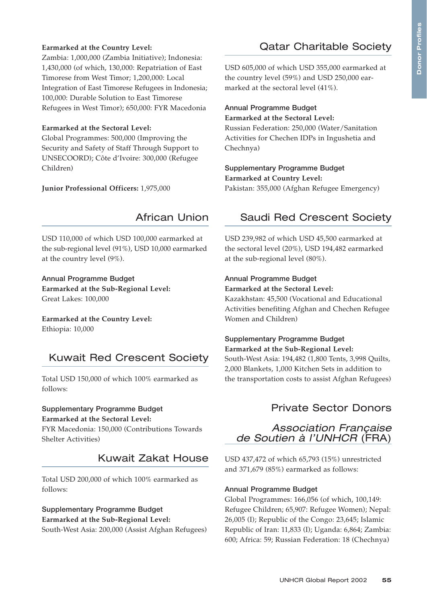## **Earmarked at the Country Level:**

Zambia: 1,000,000 (Zambia Initiative); Indonesia: 1,430,000 (of which, 130,000: Repatriation of East Timorese from West Timor; 1,200,000: Local Integration of East Timorese Refugees in Indonesia; 100,000: Durable Solution to East Timorese Refugees in West Timor); 650,000: FYR Macedonia

#### **Earmarked at the Sectoral Level:**

Global Programmes: 500,000 (Improving the Security and Safety of Staff Through Support to UNSECOORD); Côte d'Ivoire: 300,000 (Refugee Children)

**Junior Professional Officers:** 1,975,000

## African Union

USD 110,000 of which USD 100,000 earmarked at the sub-regional level (91%), USD 10,000 earmarked at the country level (9%).

**Annual Programme Budget Earmarked at the Sub-Regional Level:** Great Lakes: 100,000

**Earmarked at the Country Level:** Ethiopia: 10,000

# Kuwait Red Crescent Society

Total USD 150,000 of which 100% earmarked as follows:

## **Supplementary Programme Budget Earmarked at the Sectoral Level:**

FYR Macedonia: 150,000 (Contributions Towards Shelter Activities)

# Kuwait Zakat House

Total USD 200,000 of which 100% earmarked as follows:

# **Supplementary Programme Budget Earmarked at the Sub-Regional Level:**

South-West Asia: 200,000 (Assist Afghan Refugees)

# Qatar Charitable Society

USD 605,000 of which USD 355,000 earmarked at the country level (59%) and USD 250,000 earmarked at the sectoral level (41%).

#### **Annual Programme Budget Earmarked at the Sectoral Level:**

Russian Federation: 250,000 (Water/Sanitation Activities for Chechen IDPs in Ingushetia and Chechnya)

## **Supplementary Programme Budget Earmarked at Country Level:** Pakistan: 355,000 (Afghan Refugee Emergency)

# Saudi Red Crescent Society

USD 239,982 of which USD 45,500 earmarked at the sectoral level (20%), USD 194,482 earmarked at the sub-regional level (80%).

# **Annual Programme Budget Earmarked at the Sectoral Level:**

Kazakhstan: 45,500 (Vocational and Educational Activities benefiting Afghan and Chechen Refugee Women and Children)

# **Supplementary Programme Budget**

**Earmarked at the Sub-Regional Level:** South-West Asia: 194,482 (1,800 Tents, 3,998 Quilts, 2,000 Blankets, 1,000 Kitchen Sets in addition to the transportation costs to assist Afghan Refugees)

# Private Sector Donors

*Association Française de Soutien à l'UNHCR* (FRA)

USD 437,472 of which 65,793 (15%) unrestricted and 371,679 (85%) earmarked as follows:

#### **Annual Programme Budget**

Global Programmes: 166,056 (of which, 100,149: Refugee Children; 65,907: Refugee Women); Nepal: 26,005 (I); Republic of the Congo: 23,645; Islamic Republic of Iran: 11,833 (I); Uganda: 6,864; Zambia: 600; Africa: 59; Russian Federation: 18 (Chechnya)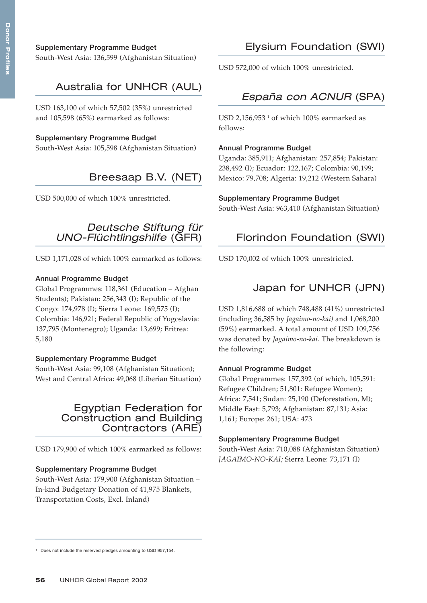## **Supplementary Programme Budget**

South-West Asia: 136,599 (Afghanistan Situation)

# Australia for UNHCR (AUL)

USD 163,100 of which 57,502 (35%) unrestricted and 105,598 (65%) earmarked as follows:

## **Supplementary Programme Budget**

South-West Asia: 105,598 (Afghanistan Situation)

# Breesaap B.V. (NET)

USD 500,000 of which 100% unrestricted.

# *Deutsche Stiftung für UNO-Flüchtlingshilfe* (GFR)

USD 1,171,028 of which 100% earmarked as follows:

#### **Annual Programme Budget**

Global Programmes: 118,361 (Education – Afghan Students); Pakistan: 256,343 (I); Republic of the Congo: 174,978 (I); Sierra Leone: 169,575 (I); Colombia: 146,921; Federal Republic of Yugoslavia: 137,795 (Montenegro); Uganda: 13,699; Eritrea: 5,180

#### **Supplementary Programme Budget**

South-West Asia: 99,108 (Afghanistan Situation); West and Central Africa: 49,068 (Liberian Situation)

# Egyptian Federation for Construction and Building Contractors (ARE)

USD 179,900 of which 100% earmarked as follows:

#### **Supplementary Programme Budget**

South-West Asia: 179,900 (Afghanistan Situation – In-kind Budgetary Donation of 41,975 Blankets, Transportation Costs, Excl. Inland)

# Elysium Foundation (SWI)

USD 572,000 of which 100% unrestricted.

# *España con ACNUR* (SPA)

USD 2,156,953 $^{\text{T}}$  of which 100% earmarked as follows:

#### **Annual Programme Budget**

Uganda: 385,911; Afghanistan: 257,854; Pakistan: 238,492 (I); Ecuador: 122,167; Colombia: 90,199; Mexico: 79,708; Algeria: 19,212 (Western Sahara)

#### **Supplementary Programme Budget**

South-West Asia: 963,410 (Afghanistan Situation)

# Florindon Foundation (SWI)

USD 170,002 of which 100% unrestricted.

# Japan for UNHCR (JPN)

USD 1,816,688 of which 748,488 (41%) unrestricted (including 36,585 by *Jagaimo-no-kai)* and 1,068,200 (59%) earmarked. A total amount of USD 109,756 was donated by *Jagaimo-no-kai*. The breakdown is the following:

#### **Annual Programme Budget**

Global Programmes: 157,392 (of which, 105,591: Refugee Children; 51,801: Refugee Women); Africa: 7,541; Sudan: 25,190 (Deforestation, M); Middle East: 5,793; Afghanistan: 87,131; Asia: 1,161; Europe: 261; USA: 473

#### **Supplementary Programme Budget**

South-West Asia: 710,088 (Afghanistan Situation) *JAGAIMO-NO-KAI;* Sierra Leone: 73,171 (I)

<sup>&</sup>lt;sup>1</sup> Does not include the reserved pledges amounting to USD 957,154.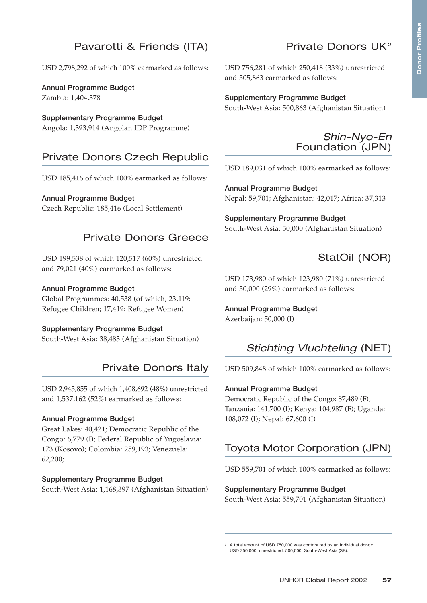# Pavarotti & Friends (ITA)

USD 2,798,292 of which 100% earmarked as follows:

**Annual Programme Budget** Zambia: 1,404,378

**Supplementary Programme Budget** Angola: 1,393,914 (Angolan IDP Programme)

# Private Donors Czech Republic

USD 185,416 of which 100% earmarked as follows:

#### **Annual Programme Budget**

Czech Republic: 185,416 (Local Settlement)

# Private Donors Greece

USD 199,538 of which 120,517 (60%) unrestricted and 79,021 (40%) earmarked as follows:

#### **Annual Programme Budget**

Global Programmes: 40,538 (of which, 23,119: Refugee Children; 17,419: Refugee Women)

#### **Supplementary Programme Budget**

South-West Asia: 38,483 (Afghanistan Situation)

# Private Donors Italy

USD 2,945,855 of which 1,408,692 (48%) unrestricted and 1,537,162 (52%) earmarked as follows:

#### **Annual Programme Budget**

Great Lakes: 40,421; Democratic Republic of the Congo: 6,779 (I); Federal Republic of Yugoslavia: 173 (Kosovo); Colombia: 259,193; Venezuela: 62,200;

#### **Supplementary Programme Budget** South-West Asia: 1,168,397 (Afghanistan Situation)

USD 756,281 of which 250,418 (33%) unrestricted and 505,863 earmarked as follows:

#### **Supplementary Programme Budget**

South-West Asia: 500,863 (Afghanistan Situation)



Private Donors UK <sup>2</sup>

USD 189,031 of which 100% earmarked as follows:

**Annual Programme Budget** Nepal: 59,701; Afghanistan: 42,017; Africa: 37,313

**Supplementary Programme Budget** South-West Asia: 50,000 (Afghanistan Situation)

# StatOil (NOR)

USD 173,980 of which 123,980 (71%) unrestricted and 50,000 (29%) earmarked as follows:

**Annual Programme Budget** Azerbaijan: 50,000 (I)

# *Stichting Vluchteling* (NET)

USD 509,848 of which 100% earmarked as follows:

#### **Annual Programme Budget**

Democratic Republic of the Congo: 87,489 (F); Tanzania: 141,700 (I); Kenya: 104,987 (F); Uganda: 108,072 (I); Nepal: 67,600 (I)

# Toyota Motor Corporation (JPN)

USD 559,701 of which 100% earmarked as follows:

#### **Supplementary Programme Budget**

South-West Asia: 559,701 (Afghanistan Situation)

<sup>2</sup> A total amount of USD 750,000 was contributed by an Individual donor: USD 250,000: unrestricted; 500,000: South-West Asia (SB).